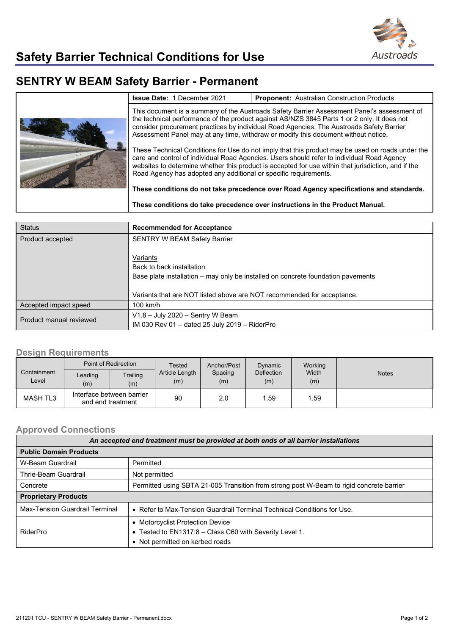

## **SENTRY W BEAM Safety Barrier - Permanent**

|  | <b>Issue Date: 1 December 2021</b>                                                                                                                                                                                                                                                                                                                                           | <b>Proponent:</b> Australian Construction Products |  |  |
|--|------------------------------------------------------------------------------------------------------------------------------------------------------------------------------------------------------------------------------------------------------------------------------------------------------------------------------------------------------------------------------|----------------------------------------------------|--|--|
|  | This document is a summary of the Austroads Safety Barrier Assessment Panel's assessment of<br>the technical performance of the product against AS/NZS 3845 Parts 1 or 2 only. It does not<br>consider procurement practices by individual Road Agencies. The Austroads Safety Barrier<br>Assessment Panel may at any time, withdraw or modify this document without notice. |                                                    |  |  |
|  | These Technical Conditions for Use do not imply that this product may be used on roads under the<br>care and control of individual Road Agencies. Users should refer to individual Road Agency<br>websites to determine whether this product is accepted for use within that jurisdiction, and if the<br>Road Agency has adopted any additional or specific requirements.    |                                                    |  |  |
|  | These conditions do not take precedence over Road Agency specifications and standards.                                                                                                                                                                                                                                                                                       |                                                    |  |  |
|  | These conditions do take precedence over instructions in the Product Manual.                                                                                                                                                                                                                                                                                                 |                                                    |  |  |

| <b>Status</b>           | <b>Recommended for Acceptance</b>                                                                                         |  |
|-------------------------|---------------------------------------------------------------------------------------------------------------------------|--|
| Product accepted        | <b>SENTRY W BEAM Safety Barrier</b>                                                                                       |  |
|                         | Variants<br>Back to back installation<br>Base plate installation – may only be installed on concrete foundation pavements |  |
|                         | Variants that are NOT listed above are NOT recommended for acceptance.                                                    |  |
| Accepted impact speed   | 100 km/h                                                                                                                  |  |
| Product manual reviewed | $V1.8 - July 2020 -Sentry W Beam$<br>IM 030 Rev 01 - dated 25 July 2019 - RiderPro                                        |  |

## **Design Requirements**

|                      | Point of Redirection                           |                 | Tested                | Anchor/Post    | Dynamic                  | Working      |              |
|----------------------|------------------------------------------------|-----------------|-----------------------|----------------|--------------------------|--------------|--------------|
| Containment<br>Level | Leading<br>(m)                                 | Trailing<br>(m) | Article Length<br>(m) | Spacing<br>(m) | <b>Deflection</b><br>(m) | Width<br>(m) | <b>Notes</b> |
| MASH TL3             | Interface between barrier<br>and end treatment |                 | 90                    | 2.0            | .59                      | .59          |              |

## **Approved Connections**

| An accepted end treatment must be provided at both ends of all barrier installations |                                                                                          |  |  |  |
|--------------------------------------------------------------------------------------|------------------------------------------------------------------------------------------|--|--|--|
| <b>Public Domain Products</b>                                                        |                                                                                          |  |  |  |
| W-Beam Guardrail                                                                     | Permitted                                                                                |  |  |  |
| Thrie-Beam Guardrail                                                                 | Not permitted                                                                            |  |  |  |
| Concrete                                                                             | Permitted using SBTA 21-005 Transition from strong post W-Beam to rigid concrete barrier |  |  |  |
| <b>Proprietary Products</b>                                                          |                                                                                          |  |  |  |
| Max-Tension Guardrail Terminal                                                       | • Refer to Max-Tension Guardrail Terminal Technical Conditions for Use.                  |  |  |  |
|                                                                                      | • Motorcyclist Protection Device                                                         |  |  |  |
| RiderPro                                                                             | • Tested to EN1317:8 - Class C60 with Severity Level 1.                                  |  |  |  |
|                                                                                      | • Not permitted on kerbed roads                                                          |  |  |  |